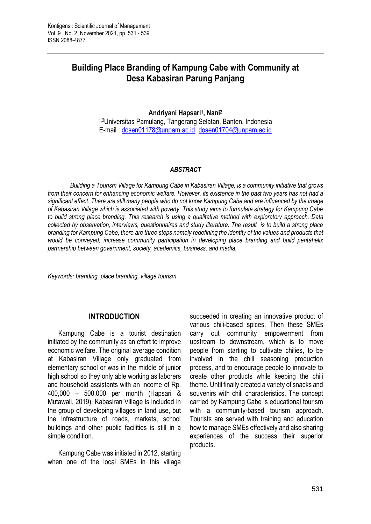# **Building Place Branding of Kampung Cabe with Community at Desa Kabasiran Parung Panjang**

**Andriyani Hapsari<sup>1</sup> , Nani<sup>2</sup>**

1,2Universitas Pamulang, Tangerang Selatan, Banten, Indonesia E-mail : [dosen01178@unpam.ac.id,](mailto:dosen01178@unpam.ac.id) [dosen01704@unpam.ac.id](mailto:dosen01704@unpam.ac.id)

#### *ABSTRACT*

*Building a Tourism Village for Kampung Cabe in Kabasiran Village, is a community initiative that grows from their concern for enhancing economic welfare. However, its existence in the past two years has not had a significant effect. There are still many people who do not know Kampung Cabe and are influenced by the image of Kabasiran Village which is associated with poverty. This study aims to formulate strategy for Kampung Cabe to build strong place branding. This research is using a qualitative method with exploratory approach. Data collected by observation, interviews, questionnaires and study literature. The result is to build a strong place branding for Kampung Cabe, there are three steps namely redefining the identity of the values and products that would be conveyed, increase community participation in developing place branding and build pentahelix partnership between government, society, acedemics, business, and media.*

*Keywords: branding, place branding, village tourism*

## **INTRODUCTION**

Kampung Cabe is a tourist destination initiated by the community as an effort to improve economic welfare. The original average condition at Kabasiran Village only graduated from elementary school or was in the middle of junior high school so they only able working as laborers and household assistants with an income of Rp. 400,000 – 500,000 per month (Hapsari & Mutawali, 2019). Kabasiran Village is included in the group of developing villages in land use, but the infrastructure of roads, markets, school buildings and other public facilities is still in a simple condition.

Kampung Cabe was initiated in 2012, starting when one of the local SMEs in this village succeeded in creating an innovative product of various chili-based spices. Then these SMEs carry out community empowerment from upstream to downstream, which is to move people from starting to cultivate chilies, to be involved in the chili seasoning production process, and to encourage people to innovate to create other products while keeping the chili theme. Until finally created a variety of snacks and souvenirs with chili characteristics. The concept carried by Kampung Cabe is educational tourism with a community-based tourism approach. Tourists are served with training and education how to manage SMEs effectively and also sharing experiences of the success their superior products.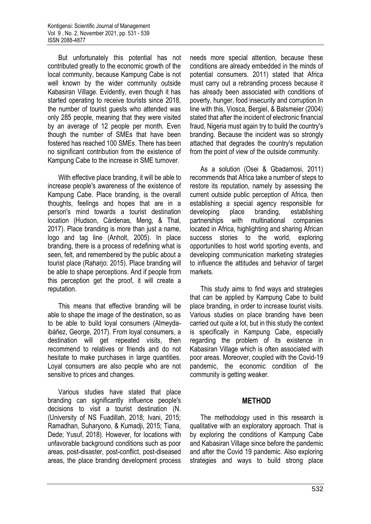But unfortunately this potential has not contributed greatly to the economic growth of the local community, because Kampung Cabe is not well known by the wider community outside Kabasiran Village. Evidently, even though it has started operating to receive tourists since 2018, the number of tourist guests who attended was only 285 people, meaning that they were visited by an average of 12 people per month. Even though the number of SMEs that have been fostered has reached 100 SMEs. There has been no significant contribution from the existence of Kampung Cabe to the increase in SME turnover.

With effective place branding, it will be able to increase people's awareness of the existence of Kampung Cabe. Place branding, is the overall thoughts, feelings and hopes that are in a person's mind towards a tourist destination location (Hudson, Cárdenas, Meng, & Thal, 2017). Place branding is more than just a name, logo and tag line (Anholt, 2005). In place branding, there is a process of redefining what is seen, felt, and remembered by the public about a tourist place (Raharjo: 2015). Place branding will be able to shape perceptions. And if people from this perception get the proof, it will create a reputation.

This means that effective branding will be able to shape the image of the destination, so as to be able to build loyal consumers (Almeydaibáñez, George, 2017). From loyal consumers, a destination will get repeated visits, then recommend to relatives or friends and do not hesitate to make purchases in large quantities. Loyal consumers are also people who are not sensitive to prices and changes.

Various studies have stated that place branding can significantly influence people's decisions to visit a tourist destination (N. (University of NS Fuadillah, 2018; Ivani, 2015; Ramadhan, Suharyono, & Kumadji, 2015; Tiana, Dede; Yusuf, 2018). However, for locations with unfavorable background conditions such as poor areas, post-disaster, post-conflict, post-diseased areas, the place branding development process

needs more special attention, because these conditions are already embedded in the minds of potential consumers. 2011) stated that Africa must carry out a rebranding process because it has already been associated with conditions of poverty, hunger, food insecurity and corruption.In line with this, Viosca, Bergiel, & Balsmeier (2004) stated that after the incident of electronic financial fraud, Nigeria must again try to build the country's branding. Because the incident was so strongly attached that degrades the country's reputation from the point of view of the outside community.

As a solution (Osei & Gbadamosi, 2011) recommends that Africa take a number of steps to restore its reputation, namely by assessing the current outside public perception of Africa, then establishing a special agency responsible for developing place branding, establishing partnerships with multinational companies located in Africa, highlighting and sharing African success stories to the world, exploring opportunities to host world sporting events, and developing communication marketing strategies to influence the attitudes and behavior of target markets.

This study aims to find ways and strategies that can be applied by Kampung Cabe to build place branding, in order to increase tourist visits. Various studies on place branding have been carried out quite a lot, but in this study the context is specifically in Kampung Cabe, especially regarding the problem of its existence in Kabasiran Village which is often associated with poor areas. Moreover, coupled with the Covid-19 pandemic, the economic condition of the community is getting weaker.

#### **METHOD**

The methodology used in this research is qualitative with an exploratory approach. That is by exploring the conditions of Kampung Cabe and Kabasiran Village since before the pandemic and after the Covid 19 pandemic. Also exploring strategies and ways to build strong place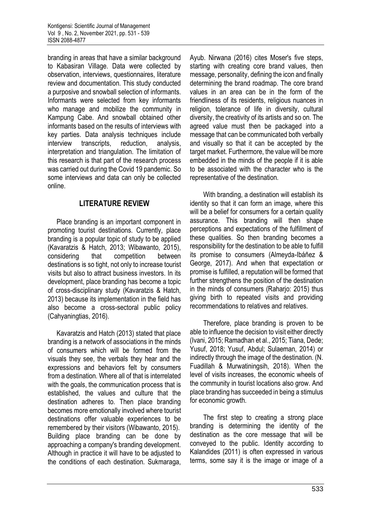branding in areas that have a similar background to Kabasiran Village. Data were collected by observation, interviews, questionnaires, literature review and documentation. This study conducted a purposive and snowball selection of informants. Informants were selected from key informants who manage and mobilize the community in Kampung Cabe. And snowball obtained other informants based on the results of interviews with key parties. Data analysis techniques include interview transcripts, reduction, analysis, interpretation and triangulation. The limitation of this research is that part of the research process was carried out during the Covid 19 pandemic. So some interviews and data can only be collected online.

# **LITERATURE REVIEW**

Place branding is an important component in promoting tourist destinations. Currently, place branding is a popular topic of study to be applied (Kavaratzis & Hatch, 2013; Wibawanto, 2015), considering that competition between destinations is so tight, not only to increase tourist visits but also to attract business investors. In its development, place branding has become a topic of cross-disciplinary study (Kavaratzis & Hatch, 2013) because its implementation in the field has also become a cross-sectoral public policy (Cahyaningtias, 2016).

Kavaratzis and Hatch (2013) stated that place branding is a network of associations in the minds of consumers which will be formed from the visuals they see, the verbals they hear and the expressions and behaviors felt by consumers from a destination. Where all of that is interrelated with the goals, the communication process that is established, the values and culture that the destination adheres to. Then place branding becomes more emotionally involved where tourist destinations offer valuable experiences to be remembered by their visitors (Wibawanto, 2015). Building place branding can be done by approaching a company's branding development. Although in practice it will have to be adjusted to the conditions of each destination. Sukmaraga,

Ayub. Nirwana (2016) cites Moser's five steps, starting with creating core brand values, then message, personality, defining the icon and finally determining the brand roadmap. The core brand values in an area can be in the form of the friendliness of its residents, religious nuances in religion, tolerance of life in diversity, cultural diversity, the creativity of its artists and so on. The agreed value must then be packaged into a message that can be communicated both verbally and visually so that it can be accepted by the target market. Furthermore, the value will be more embedded in the minds of the people if it is able to be associated with the character who is the representative of the destination.

With branding, a destination will establish its identity so that it can form an image, where this will be a belief for consumers for a certain quality assurance. This branding will then shape perceptions and expectations of the fulfillment of these qualities. So then branding becomes a responsibility for the destination to be able to fulfill its promise to consumers (Almeyda-Ibáñez & George, 2017). And when that expectation or promise is fulfilled, a reputation will be formed that further strengthens the position of the destination in the minds of consumers (Raharjo: 2015) thus giving birth to repeated visits and providing recommendations to relatives and relatives.

Therefore, place branding is proven to be able to influence the decision to visit either directly (Ivani, 2015; Ramadhan et al., 2015; Tiana, Dede; Yusuf, 2018; Yusuf, Abdul; Sulaeman, 2014) or indirectly through the image of the destination. (N. Fuadillah & Murwatiningsih, 2018). When the level of visits increases, the economic wheels of the community in tourist locations also grow. And place branding has succeeded in being a stimulus for economic growth.

The first step to creating a strong place branding is determining the identity of the destination as the core message that will be conveyed to the public. Identity according to Kalandides (2011) is often expressed in various terms, some say it is the image or image of a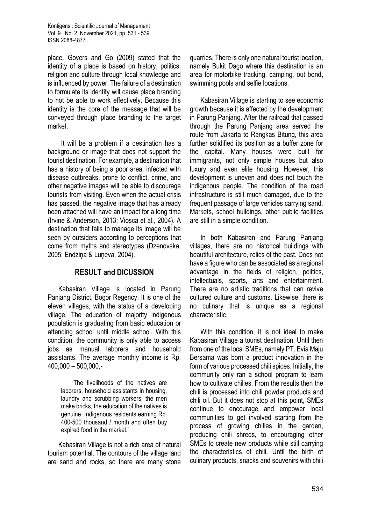place. Govers and Go (2009) stated that the identity of a place is based on history, politics, religion and culture through local knowledge and is influenced by power. The failure of a destination to formulate its identity will cause place branding to not be able to work effectively. Because this identity is the core of the message that will be conveyed through place branding to the target market.

It will be a problem if a destination has a background or image that does not support the tourist destination. For example, a destination that has a history of being a poor area, infected with disease outbreaks, prone to conflict, crime, and other negative images will be able to discourage tourists from visiting. Even when the actual crisis has passed, the negative image that has already been attached will have an impact for a long time (Irvine & Anderson, 2013; Viosca et al., 2004). A destination that fails to manage its image will be seen by outsiders according to perceptions that come from myths and stereotypes (Dzenovska, 2005; Endziņa & Luņeva, 2004).

## **RESULT and DICUSSION**

Kabasiran Village is located in Parung Panjang District, Bogor Regency. It is one of the eleven villages, with the status of a developing village. The education of majority indigenous population is graduating from basic education or attending school until middle school. With this condition, the community is only able to access jobs as manual laborers and household assistants. The average monthly income is Rp. 400,000 – 500,000,-

> "The livelihoods of the natives are laborers, household assistants in housing, laundry and scrubbing workers, the men make bricks, the education of the natives is genuine. Indigenous residents earning Rp. 400-500 thousand / month and often buy expired food in the market."

Kabasiran Village is not a rich area of natural tourism potential. The contours of the village land are sand and rocks, so there are many stone

quarries. There is only one natural tourist location, namely Bukit Dago where this destination is an area for motorbike tracking, camping, out bond, swimming pools and selfie locations.

Kabasiran Village is starting to see economic growth because it is affected by the development in Parung Panjang. After the railroad that passed through the Parung Panjang area served the route from Jakarta to Rangkas Bitung, this area further solidified its position as a buffer zone for the capital. Many houses were built for immigrants, not only simple houses but also luxury and even elite housing. However, this development is uneven and does not touch the indigenous people. The condition of the road infrastructure is still much damaged, due to the frequent passage of large vehicles carrying sand. Markets, school buildings, other public facilities are still in a simple condition.

In both Kabasiran and Parung Panjang villages, there are no historical buildings with beautiful architecture, relics of the past. Does not have a figure who can be associated as a regional advantage in the fields of religion, politics, intellectuals, sports, arts and entertainment. There are no artistic traditions that can revive cultured culture and customs. Likewise, there is no culinary that is unique as a regional characteristic.

With this condition, it is not ideal to make Kabasiran Village a tourist destination. Until then from one of the local SMEs, namely PT. Evia Maju Bersama was born a product innovation in the form of various processed chili spices. Initially, the community only ran a school program to learn how to cultivate chilies. From the results then the chili is processed into chili powder products and chili oil. But it does not stop at this point, SMEs continue to encourage and empower local communities to get involved starting from the process of growing chilies in the garden, producing chili shreds, to encouraging other SMEs to create new products while still carrying the characteristics of chili. Until the birth of culinary products, snacks and souvenirs with chili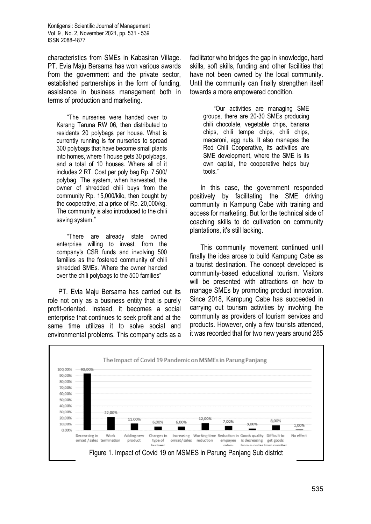characteristics from SMEs in Kabasiran Village. PT. Evia Maju Bersama has won various awards from the government and the private sector, established partnerships in the form of funding, assistance in business management both in terms of production and marketing.

"The nurseries were handed over to Karang Taruna RW 06, then distributed to residents 20 polybags per house. What is currently running is for nurseries to spread 300 polybags that have become small plants into homes, where 1 house gets 30 polybags, and a total of 10 houses. Where all of it includes 2 RT. Cost per poly bag Rp. 7.500/ polybag. The system, when harvested, the owner of shredded chili buys from the community Rp. 15,000/kilo, then bought by the cooperative, at a price of Rp. 20,000/kg. The community is also introduced to the chili saving system."

"There are already state owned enterprise willing to invest, from the company's CSR funds and involving 500 families as the fostered community of chili shredded SMEs. Where the owner handed over the chili polybags to the 500 families"

PT. Evia Maju Bersama has carried out its role not only as a business entity that is purely profit-oriented. Instead, it becomes a social enterprise that continues to seek profit and at the same time utilizes it to solve social and environmental problems. This company acts as a facilitator who bridges the gap in knowledge, hard skills, soft skills, funding and other facilities that have not been owned by the local community. Until the community can finally strengthen itself towards a more empowered condition.

"Our activities are managing SME groups, there are 20-30 SMEs producing chili chocolate, vegetable chips, banana chips, chili tempe chips, chili chips, macaroni, egg nuts. It also manages the Red Chili Cooperative, its activities are SME development, where the SME is its own capital, the cooperative helps buy tools."

In this case, the government responded positively by facilitating the SME driving community in Kampung Cabe with training and access for marketing. But for the technical side of coaching skills to do cultivation on community plantations, it's still lacking.

This community movement continued until finally the idea arose to build Kampung Cabe as a tourist destination. The concept developed is community-based educational tourism. Visitors will be presented with attractions on how to manage SMEs by promoting product innovation. Since 2018, Kampung Cabe has succeeded in carrying out tourism activities by involving the community as providers of tourism services and products. However, only a few tourists attended, it was recorded that for two new years around 285

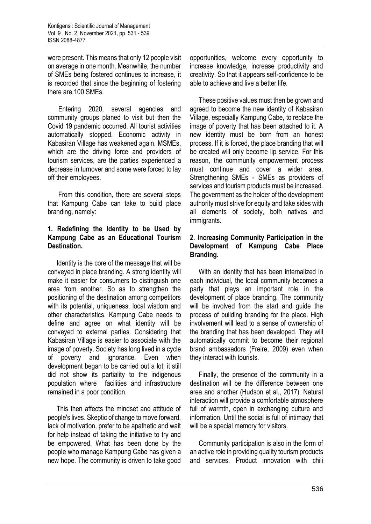were present. This means that only 12 people visit on average in one month. Meanwhile, the number of SMEs being fostered continues to increase, it is recorded that since the beginning of fostering there are 100 SMEs.

Entering 2020, several agencies and community groups planed to visit but then the Covid 19 pandemic occurred. All tourist activities automatically stopped. Economic activity in Kabasiran Village has weakened again. MSMEs, which are the driving force and providers of tourism services, are the parties experienced a decrease in turnover and some were forced to lay off their employees.

From this condition, there are several steps that Kampung Cabe can take to build place branding, namely:

#### **1. Redefining the Identity to be Used by Kampung Cabe as an Educational Tourism Destination.**

Identity is the core of the message that will be conveyed in place branding. A strong identity will make it easier for consumers to distinguish one area from another. So as to strengthen the positioning of the destination among competitors with its potential, uniqueness, local wisdom and other characteristics. Kampung Cabe needs to define and agree on what identity will be conveyed to external parties. Considering that Kabasiran Village is easier to associate with the image of poverty. Society has long lived in a cycle of poverty and ignorance. Even when development began to be carried out a lot, it still did not show its partiality to the indigenous population where facilities and infrastructure remained in a poor condition.

This then affects the mindset and attitude of people's lives. Skeptic of change to move forward, lack of motivation, prefer to be apathetic and wait for help instead of taking the initiative to try and be empowered. What has been done by the people who manage Kampung Cabe has given a new hope. The community is driven to take good opportunities, welcome every opportunity to increase knowledge, increase productivity and creativity. So that it appears self-confidence to be able to achieve and live a better life.

These positive values must then be grown and agreed to become the new identity of Kabasiran Village, especially Kampung Cabe, to replace the image of poverty that has been attached to it. A new identity must be born from an honest process. If it is forced, the place branding that will be created will only become lip service. For this reason, the community empowerment process must continue and cover a wider area. Strengthening SMEs - SMEs as providers of services and tourism products must be increased. The government as the holder of the development authority must strive for equity and take sides with all elements of society, both natives and immigrants.

### **2. Increasing Community Participation in the Development of Kampung Cabe Place Branding.**

With an identity that has been internalized in each individual, the local community becomes a party that plays an important role in the development of place branding. The community will be involved from the start and guide the process of building branding for the place. High involvement will lead to a sense of ownership of the branding that has been developed. They will automatically commit to become their regional brand ambassadors (Freire, 2009) even when they interact with tourists.

Finally, the presence of the community in a destination will be the difference between one area and another (Hudson et al., 2017). Natural interaction will provide a comfortable atmosphere full of warmth, open in exchanging culture and information. Until the social is full of intimacy that will be a special memory for visitors.

Community participation is also in the form of an active role in providing quality tourism products and services. Product innovation with chili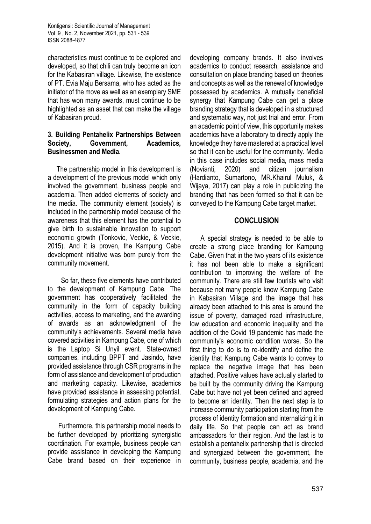characteristics must continue to be explored and developed, so that chili can truly become an icon for the Kabasiran village. Likewise, the existence of PT. Evia Maju Bersama, who has acted as the initiator of the move as well as an exemplary SME that has won many awards, must continue to be highlighted as an asset that can make the village of Kabasiran proud.

#### **3. Building Pentahelix Partnerships Between Society, Government, Academics, Businessmen and Media.**

The partnership model in this development is a development of the previous model which only involved the government, business people and academia. Then added elements of society and the media. The community element (society) is included in the partnership model because of the awareness that this element has the potential to give birth to sustainable innovation to support economic growth (Tonkovic, Veckie, & Veckie, 2015). And it is proven, the Kampung Cabe development initiative was born purely from the community movement.

So far, these five elements have contributed to the development of Kampung Cabe. The government has cooperatively facilitated the community in the form of capacity building activities, access to marketing, and the awarding of awards as an acknowledgment of the community's achievements. Several media have covered activities in Kampung Cabe, one of which is the Laptop Si Unyil event. State-owned companies, including BPPT and Jasindo, have provided assistance through CSR programs in the form of assistance and development of production and marketing capacity. Likewise, academics have provided assistance in assessing potential, formulating strategies and action plans for the development of Kampung Cabe.

Furthermore, this partnership model needs to be further developed by prioritizing synergistic coordination. For example, business people can provide assistance in developing the Kampung Cabe brand based on their experience in

developing company brands. It also involves academics to conduct research, assistance and consultation on place branding based on theories and concepts as well as the renewal of knowledge possessed by academics. A mutually beneficial synergy that Kampung Cabe can get a place branding strategy that is developed in a structured and systematic way, not just trial and error. From an academic point of view, this opportunity makes academics have a laboratory to directly apply the knowledge they have mastered at a practical level so that it can be useful for the community. Media in this case includes social media, mass media (Novianti, 2020) and citizen journalism (Hardianto, Sumartono, MR.Khairul Muluk, & Wijaya, 2017) can play a role in publicizing the branding that has been formed so that it can be conveyed to the Kampung Cabe target market.

## **CONCLUSION**

A special strategy is needed to be able to create a strong place branding for Kampung Cabe. Given that in the two years of its existence it has not been able to make a significant contribution to improving the welfare of the community. There are still few tourists who visit because not many people know Kampung Cabe in Kabasiran Village and the image that has already been attached to this area is around the issue of poverty, damaged road infrastructure, low education and economic inequality and the addition of the Covid 19 pandemic has made the community's economic condition worse. So the first thing to do is to re-identify and define the identity that Kampung Cabe wants to convey to replace the negative image that has been attached. Positive values have actually started to be built by the community driving the Kampung Cabe but have not yet been defined and agreed to become an identity. Then the next step is to increase community participation starting from the process of identity formation and internalizing it in daily life. So that people can act as brand ambassadors for their region. And the last is to establish a pentahelix partnership that is directed and synergized between the government, the community, business people, academia, and the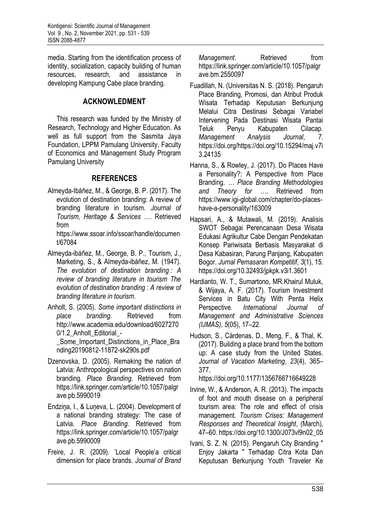media. Starting from the identification process of identity, socialization, capacity building of human resources, research, and assistance in developing Kampung Cabe place branding.

# **ACKNOWLEDMENT**

This research was funded by the Ministry of Research, Technology and Higher Education. As well as full support from the Sasmita Jaya Foundation, LPPM Pamulang University, Faculty of Economics and Management Study Program Pamulang University

# **REFERENCES**

Almeyda-Ibáñez, M., & George, B. P. (2017). The evolution of destination branding: A review of branding literature in tourism. *Journal of Tourism, Heritage & Services …*. Retrieved from

https://www.ssoar.info/ssoar/handle/documen t/67084

- Almeyda-ibáñez, M., George, B. P., Tourism, J., Marketing, S., & Almeyda-ibáñez, M. (1947). *The evolution of destination branding : A review of branding literature in tourism The evolution of destination branding : A review of branding literature in tourism*.
- Anholt, S. (2005). *Some important distinctions in place branding*. Retrieved from http://www.academia.edu/download/6027270 0/1.2 Anholt Editorial -

Some Important Distinctions in Place Bra nding20190812-11872-sk290s.pdf

- Dzenovska, D. (2005). Remaking the nation of Latvia: Anthropological perspectives on nation branding. *Place Branding*. Retrieved from https://link.springer.com/article/10.1057/palgr ave.pb.5990019
- Endziņa, I., & Luņeva, L. (2004). Development of a national branding strategy: The case of Latvia. *Place Branding*. Retrieved from https://link.springer.com/article/10.1057/palgr ave.pb.5990009
- Freire, J. R. (2009). 'Local People'a critical dimension for place brands. *Journal of Brand*

*Management.* Retrieved from https://link.springer.com/article/10.1057/palgr ave.bm.2550097

- Fuadillah, N. (Universitas N. S. (2018). Pengaruh Place Branding, Promosi, dan Atribut Produk Wisata Terhadap Keputusan Berkunjung Melalui Citra Destinasi Sebagai Variabel Intervening Pada Destinasi Wisata Pantai Teluk Penyu Kabupaten Cilacap. *Management Analysis Journal*, *7*. https://doi.org/https://doi.org/10.15294/maj.v7i 3.24135
- Hanna, S., & Rowley, J. (2017). Do Places Have a Personality?: A Perspective from Place Branding. *… Place Branding Methodologies and Theory for …*. Retrieved from https://www.igi-global.com/chapter/do-placeshave-a-personality/163009
- Hapsari, A., & Mutawali, M. (2019). Analisis SWOT Sebagai Perencanaan Desa Wisata Edukasi Agrikultur Cabe Dengan Pendekatan Konsep Pariwisata Berbasis Masyarakat di Desa Kabasiran, Parung Panjang, Kabupaten Bogor. *Jurnal Pemasaran Kompetitif*, *3*(1), 15. https://doi.org/10.32493/jpkpk.v3i1.3601
- Hardianto, W. T., Sumartono, MR.Khairul Muluk, & Wijaya, A. F. (2017). Tourism Investment Services in Batu City With Penta Helix Perspective. *International Journal of Management and Administrative Sciences (IJMAS)*, *5*(05), 17–22.
- Hudson, S., Cárdenas, D., Meng, F., & Thal, K. (2017). Building a place brand from the bottom up: A case study from the United States. *Journal of Vacation Marketing*, *23*(4), 365– 377.

https://doi.org/10.1177/1356766716649228

- Irvine, W., & Anderson, A. R. (2013). The impacts of foot and mouth disease on a peripheral tourism area: The role and effect of crisis management. *Tourism Crises: Management Responses and Theoretical Insight*, (March), 47–60. https://doi.org/10.1300/J073vl9n02\_05
- Ivani, S. Z. N. (2015). Pengaruh City Branding " Enjoy Jakarta " Terhadap Citra Kota Dan Keputusan Berkunjung Youth Traveler Ke